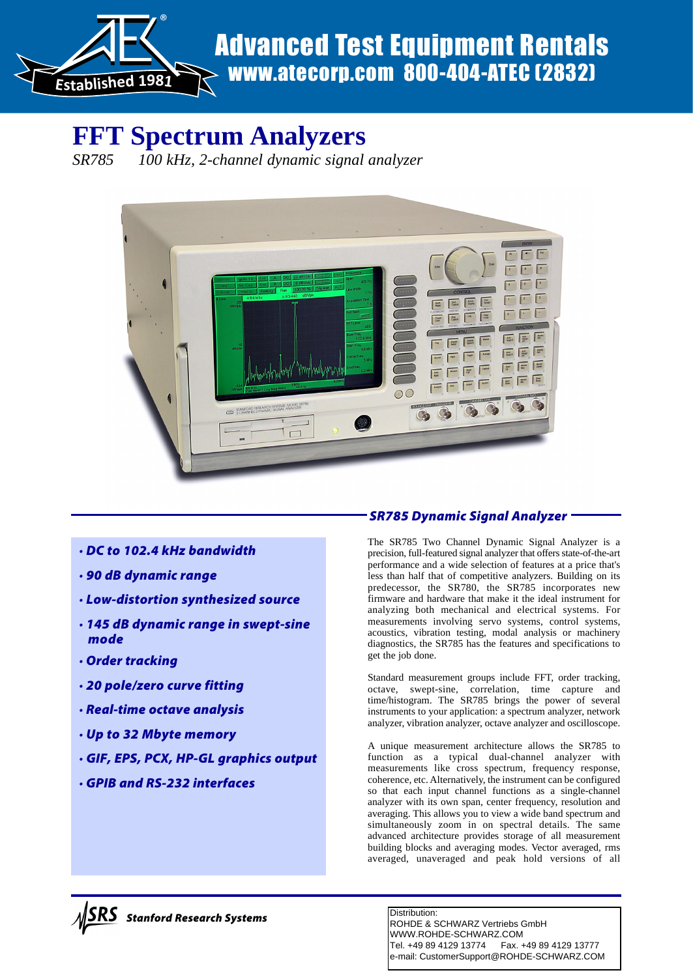

# www.atecorp.com 800-404-ATEC (2832)

# **FFT Spectrum Analyzers**

*SR785 100 kHz, 2-channel dynamic signal analyzer*



- *· DC to 102.4 kHz bandwidth*
- *· 90 dB dynamic range*
- *· Low-distortion synthesized source*
- *· 145 dB dynamic range in swept-sine mode*
- *· Order tracking*
- *· 20 pole/zero curve fitting*
- *· Real-time octave analysis*
- *· Up to 32 Mbyte memory*
- *· GIF, EPS, PCX, HP-GL graphics output*
- *· GPIB and RS-232 interfaces*

# *SR785 Dynamic Signal Analyzer*

The SR785 Two Channel Dynamic Signal Analyzer is a precision, full-featured signal analyzer that offers state-of-the-art performance and a wide selection of features at a price that's less than half that of competitive analyzers. Building on its predecessor, the SR780, the SR785 incorporates new firmware and hardware that make it the ideal instrument for analyzing both mechanical and electrical systems. For measurements involving servo systems, control systems, acoustics, vibration testing, modal analysis or machinery diagnostics, the SR785 has the features and specifications to get the job done.

Standard measurement groups include FFT, order tracking, octave, swept-sine, correlation, time capture and time/histogram. The SR785 brings the power of several instruments to your application: a spectrum analyzer, network analyzer, vibration analyzer, octave analyzer and oscilloscope.

A unique measurement architecture allows the SR785 to function as a typical dual-channel analyzer with measurements like cross spectrum, frequency response, coherence, etc. Alternatively, the instrument can be configured so that each input channel functions as a single-channel analyzer with its own span, center frequency, resolution and averaging. This allows you to view a wide band spectrum and simultaneously zoom in on spectral details. The same advanced architecture provides storage of all measurement building blocks and averaging modes. Vector averaged, rms averaged, unaveraged and peak hold versions of all

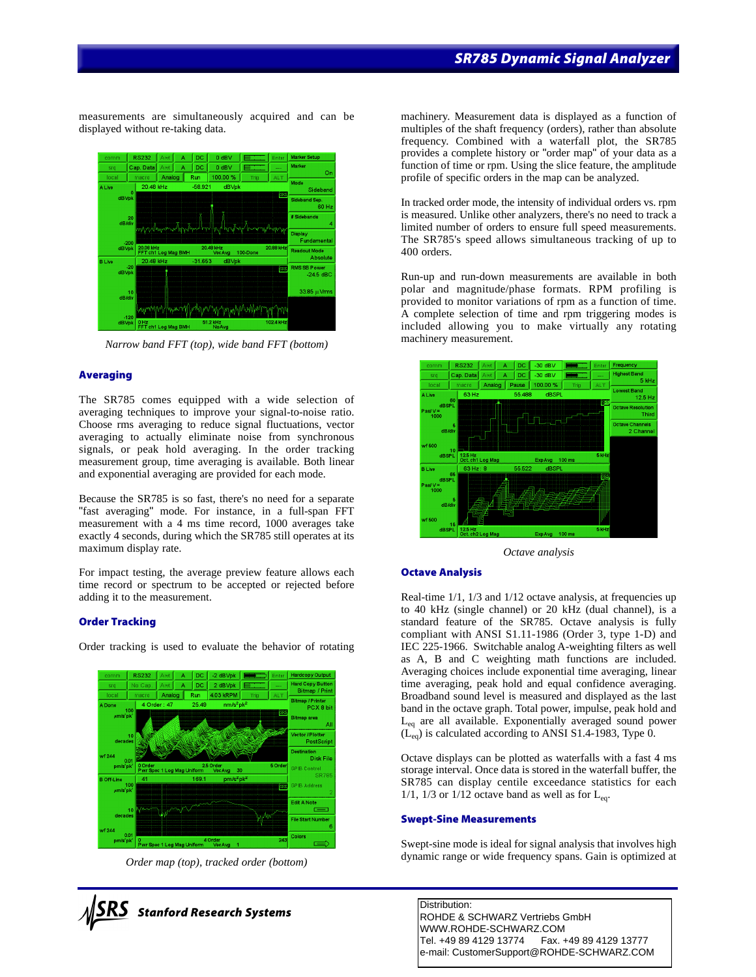measurements are simultaneously acquired and can be displayed without re-taking data.



*Narrow band FFT (top), wide band FFT (bottom)*

#### **Averaging**

The SR785 comes equipped with a wide selection of averaging techniques to improve your signal-to-noise ratio. Choose rms averaging to reduce signal fluctuations, vector averaging to actually eliminate noise from synchronous signals, or peak hold averaging. In the order tracking measurement group, time averaging is available. Both linear and exponential averaging are provided for each mode.

Because the SR785 is so fast, there's no need for a separate "fast averaging" mode. For instance, in a full-span FFT measurement with a 4 ms time record, 1000 averages take exactly 4 seconds, during which the SR785 still operates at its maximum display rate.

For impact testing, the average preview feature allows each time record or spectrum to be accepted or rejected before adding it to the measurement.

#### **Order Tracking**

Order tracking is used to evaluate the behavior of rotating



*Order map (top), tracked order (bottom)*



machinery. Measurement data is displayed as a function of multiples of the shaft frequency (orders), rather than absolute frequency. Combined with a waterfall plot, the SR785 provides a complete history or "order map" of your data as a function of time or rpm. Using the slice feature, the amplitude profile of specific orders in the map can be analyzed.

In tracked order mode, the intensity of individual orders vs. rpm is measured. Unlike other analyzers, there's no need to track a limited number of orders to ensure full speed measurements. The SR785's speed allows simultaneous tracking of up to 400 orders.

Run-up and run-down measurements are available in both polar and magnitude/phase formats. RPM profiling is provided to monitor variations of rpm as a function of time. A complete selection of time and rpm triggering modes is included allowing you to make virtually any rotating machinery measurement.



*Octave analysis*

#### **Octave Analysis**

Real-time  $1/1$ ,  $1/3$  and  $1/12$  octave analysis, at frequencies up to 40 kHz (single channel) or 20 kHz (dual channel), is a standard feature of the SR785. Octave analysis is fully compliant with ANSI S1.11-1986 (Order 3, type 1-D) and IEC 225-1966. Switchable analog A-weighting filters as well as A, B and C weighting math functions are included. Averaging choices include exponential time averaging, linear time averaging, peak hold and equal confidence averaging. Broadband sound level is measured and displayed as the last band in the octave graph. Total power, impulse, peak hold and Leq are all available. Exponentially averaged sound power  $(L_{eq}^{\dagger})$  is calculated according to ANSI S1.4-1983, Type 0.

Octave displays can be plotted as waterfalls with a fast 4 ms storage interval. Once data is stored in the waterfall buffer, the SR785 can display centile exceedance statistics for each 1/1, 1/3 or 1/12 octave band as well as for  $L_{eq}$ .

#### **Swept-Sine Measurements**

Swept-sine mode is ideal for signal analysis that involves high dynamic range or wide frequency spans. Gain is optimized at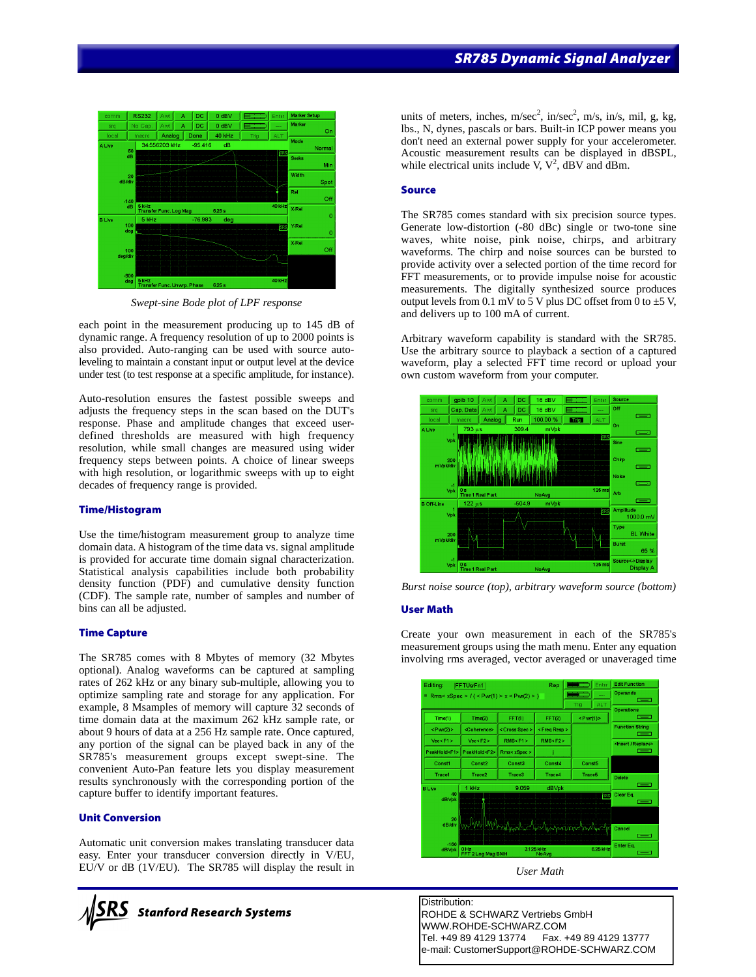

*Swept-sine Bode plot of LPF response*

each point in the measurement producing up to 145 dB of dynamic range. A frequency resolution of up to 2000 points is also provided. Auto-ranging can be used with source autoleveling to maintain a constant input or output level at the device under test (to test response at a specific amplitude, for instance).

Auto-resolution ensures the fastest possible sweeps and adjusts the frequency steps in the scan based on the DUT's response. Phase and amplitude changes that exceed userdefined thresholds are measured with high frequency resolution, while small changes are measured using wider frequency steps between points. A choice of linear sweeps with high resolution, or logarithmic sweeps with up to eight decades of frequency range is provided.

#### **Time/Histogram**

Use the time/histogram measurement group to analyze time domain data. A histogram of the time data vs. signal amplitude is provided for accurate time domain signal characterization. Statistical analysis capabilities include both probability density function (PDF) and cumulative density function (CDF). The sample rate, number of samples and number of bins can all be adjusted.

#### **Time Capture**

The SR785 comes with 8 Mbytes of memory (32 Mbytes optional). Analog waveforms can be captured at sampling rates of 262 kHz or any binary sub-multiple, allowing you to optimize sampling rate and storage for any application. For example, 8 Msamples of memory will capture 32 seconds of time domain data at the maximum 262 kHz sample rate, or about 9 hours of data at a 256 Hz sample rate. Once captured, any portion of the signal can be played back in any of the SR785's measurement groups except swept-sine. The convenient Auto-Pan feature lets you display measurement results synchronously with the corresponding portion of the capture buffer to identify important features.

#### **Unit Conversion**

Automatic unit conversion makes translating transducer data easy. Enter your transducer conversion directly in V/EU, EU/V or dB (1V/EU). The SR785 will display the result in



units of meters, inches,  $m/sec^2$ , in/sec<sup>2</sup>, m/s, in/s, mil, g, kg, lbs., N, dynes, pascals or bars. Built-in ICP power means you don't need an external power supply for your accelerometer. Acoustic measurement results can be displayed in dBSPL, while electrical units include V,  $V^2$ , dBV and dBm.

#### **Source**

The SR785 comes standard with six precision source types. Generate low-distortion (-80 dBc) single or two-tone sine waves, white noise, pink noise, chirps, and arbitrary waveforms. The chirp and noise sources can be bursted to provide activity over a selected portion of the time record for FFT measurements, or to provide impulse noise for acoustic measurements. The digitally synthesized source produces output levels from 0.1 mV to 5 V plus DC offset from 0 to  $\pm$ 5 V, and delivers up to 100 mA of current.

Arbitrary waveform capability is standard with the SR785. Use the arbitrary source to playback a section of a captured waveform, play a selected FFT time record or upload your own custom waveform from your computer.



*Burst noise source (top), arbitrary waveform source (bottom)*

#### **User Math**

Create your own measurement in each of the SR785's measurement groups using the math menu. Enter any equation involving rms averaged, vector averaged or unaveraged time



*User Math*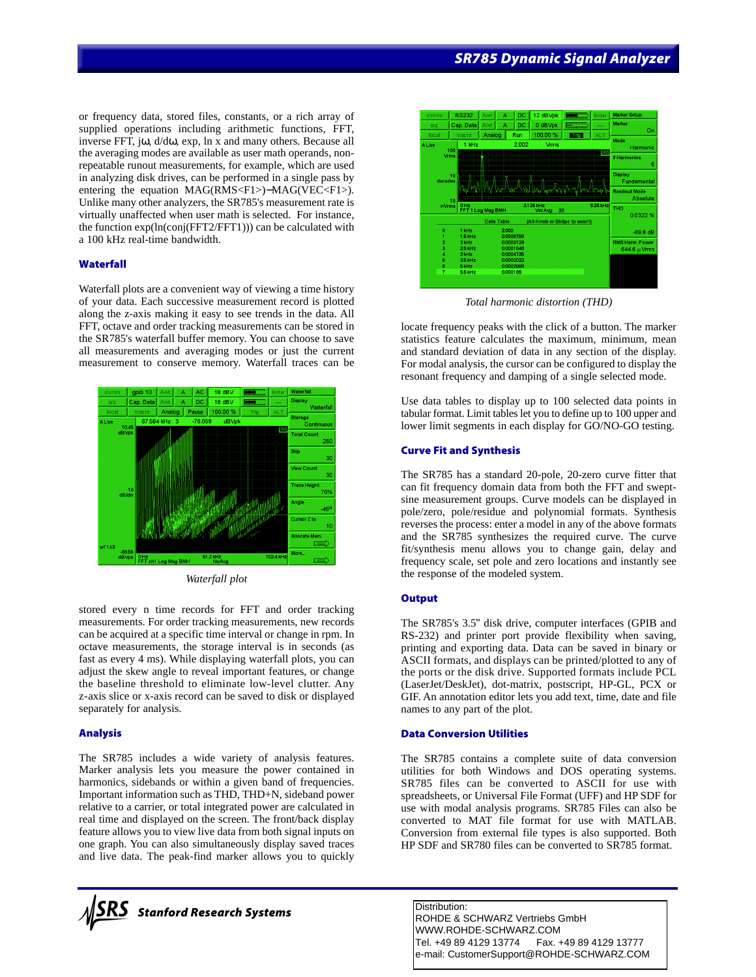or frequency data, stored files, constants, or a rich array of supplied operations including arithmetic functions, FFT, inverse FFT, jω, d/dω, exp, ln x and many others. Because all the averaging modes are available as user math operands, nonrepeatable runout measurements, for example, which are used in analyzing disk drives, can be performed in a single pass by entering the equation MAG(RMS<F1>)−MAG(VEC<F1>). Unlike many other analyzers, the SR785's measurement rate is virtually unaffected when user math is selected. For instance, the function exp(ln(conj(FFT2/FFT1))) can be calculated with a 100 kHz real-time bandwidth.

#### **Waterfall**

Waterfall plots are a convenient way of viewing a time history of your data. Each successive measurement record is plotted along the z-axis making it easy to see trends in the data. All FFT, octave and order tracking measurements can be stored in the SR785's waterfall buffer memory. You can choose to save all measurements and averaging modes or just the current measurement to conserve memory. Waterfall traces can be



*Waterfall plot*

stored every n time records for FFT and order tracking measurements. For order tracking measurements, new records can be acquired at a specific time interval or change in rpm. In octave measurements, the storage interval is in seconds (as fast as every 4 ms). While displaying waterfall plots, you can adjust the skew angle to reveal important features, or change the baseline threshold to eliminate low-level clutter. Any z-axis slice or x-axis record can be saved to disk or displayed separately for analysis.

#### **Analysis**

The SR785 includes a wide variety of analysis features. Marker analysis lets you measure the power contained in harmonics, sidebands or within a given band of frequencies. Important information such as THD, THD+N, sideband power relative to a carrier, or total integrated power are calculated in real time and displayed on the screen. The front/back display feature allows you to view live data from both signal inputs on one graph. You can also simultaneously display saved traces and live data. The peak-find marker allows you to quickly





*Total harmonic distortion (THD)*

locate frequency peaks with the click of a button. The marker statistics feature calculates the maximum, minimum, mean and standard deviation of data in any section of the display. For modal analysis, the cursor can be configured to display the resonant frequency and damping of a single selected mode.

Use data tables to display up to 100 selected data points in tabular format. Limit tables let you to define up to 100 upper and lower limit segments in each display for GO/NO-GO testing.

#### **Curve Fit and Synthesis**

The SR785 has a standard 20-pole, 20-zero curve fitter that can fit frequency domain data from both the FFT and sweptsine measurement groups. Curve models can be displayed in pole/zero, pole/residue and polynomial formats. Synthesis reverses the process: enter a model in any of the above formats and the SR785 synthesizes the required curve. The curve fit/synthesis menu allows you to change gain, delay and frequency scale, set pole and zero locations and instantly see the response of the modeled system.

# **Output**

The SR785's 3.5" disk drive, computer interfaces (GPIB and RS-232) and printer port provide flexibility when saving, printing and exporting data. Data can be saved in binary or ASCII formats, and displays can be printed/plotted to any of the ports or the disk drive. Supported formats include PCL (LaserJet/DeskJet), dot-matrix, postscript, HP-GL, PCX or GIF. An annotation editor lets you add text, time, date and file names to any part of the plot.

#### **Data Conversion Utilities**

The SR785 contains a complete suite of data conversion utilities for both Windows and DOS operating systems. SR785 files can be converted to ASCII for use with spreadsheets, or Universal File Format (UFF) and HP SDF for use with modal analysis programs. SR785 Files can also be converted to MAT file format for use with MATLAB. Conversion from external file types is also supported. Both HP SDF and SR780 files can be converted to SR785 format.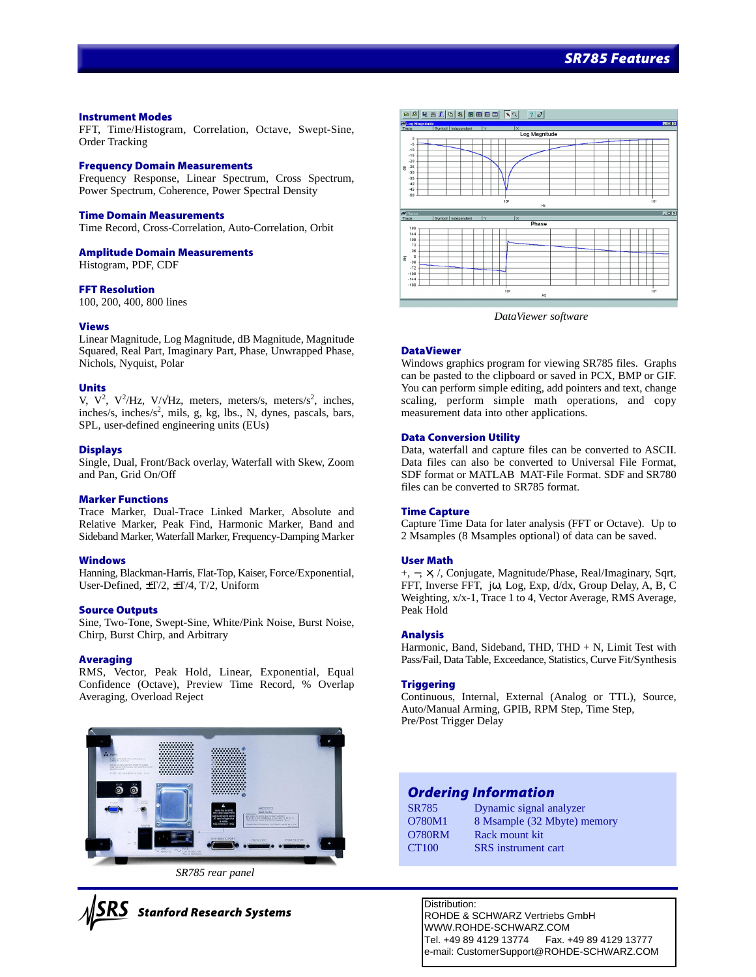#### **Instrument Modes**

FFT, Time/Histogram, Correlation, Octave, Swept-Sine, Order Tracking

#### **Frequency Domain Measurements**

Frequency Response, Linear Spectrum, Cross Spectrum, Power Spectrum, Coherence, Power Spectral Density

#### **Time Domain Measurements**

Time Record, Cross-Correlation, Auto-Correlation, Orbit

#### **Amplitude Domain Measurements**

Histogram, PDF, CDF

#### **FFT Resolution**

100, 200, 400, 800 lines

#### **Views**

Linear Magnitude, Log Magnitude, dB Magnitude, Magnitude Squared, Real Part, Imaginary Part, Phase, Unwrapped Phase, Nichols, Nyquist, Polar

#### **Units**

V,  $V^2$ ,  $V^2/Hz$ ,  $V/\sqrt{Hz}$ , meters, meters/s, meters/s<sup>2</sup>, inches, inches/s, inches/s<sup>2</sup>, mils, g, kg, lbs., N, dynes, pascals, bars, SPL, user-defined engineering units (EUs)

#### **Displays**

Single, Dual, Front/Back overlay, Waterfall with Skew, Zoom and Pan, Grid On/Off

#### **Marker Functions**

Trace Marker, Dual-Trace Linked Marker, Absolute and Relative Marker, Peak Find, Harmonic Marker, Band and Sideband Marker, Waterfall Marker, Frequency-Damping Marker

#### **Windows**

Hanning, Blackman-Harris, Flat-Top, Kaiser, Force/Exponential, User-Defined, ±T/2, ±T/4, T/2, Uniform

#### **Source Outputs**

Sine, Two-Tone, Swept-Sine, White/Pink Noise, Burst Noise, Chirp, Burst Chirp, and Arbitrary

#### **Averaging**

RMS, Vector, Peak Hold, Linear, Exponential, Equal Confidence (Octave), Preview Time Record, % Overlap Averaging, Overload Reject



*SR785 rear panel*





*DataViewer software*

#### **DataViewer**

Windows graphics program for viewing SR785 files. Graphs can be pasted to the clipboard or saved in PCX, BMP or GIF. You can perform simple editing, add pointers and text, change scaling, perform simple math operations, and copy measurement data into other applications.

#### **Data Conversion Utility**

Data, waterfall and capture files can be converted to ASCII. Data files can also be converted to Universal File Format, SDF format or MATLAB MAT-File Format. SDF and SR780 files can be converted to SR785 format.

#### **Time Capture**

Capture Time Data for later analysis (FFT or Octave). Up to 2 Msamples (8 Msamples optional) of data can be saved.

#### **User Math**

+, −, ×, /, Conjugate, Magnitude/Phase, Real/Imaginary, Sqrt, FFT, Inverse FFT, jω, Log, Exp, d/dx, Group Delay, A, B, C Weighting, x/x-1, Trace 1 to 4, Vector Average, RMS Average, Peak Hold

#### **Analysis**

Harmonic, Band, Sideband, THD, THD  $+ N$ , Limit Test with Pass/Fail, Data Table, Exceedance, Statistics, Curve Fit/Synthesis

#### **Triggering**

Continuous, Internal, External (Analog or TTL), Source, Auto/Manual Arming, GPIB, RPM Step, Time Step, Pre/Post Trigger Delay

# *Ordering Information*

| <b>SR785</b>      | Dynamic signal analyzer     |
|-------------------|-----------------------------|
| O780M1            | 8 Msample (32 Mbyte) memory |
| <b>O780RM</b>     | Rack mount kit              |
| CT <sub>100</sub> | <b>SRS</b> instrument cart  |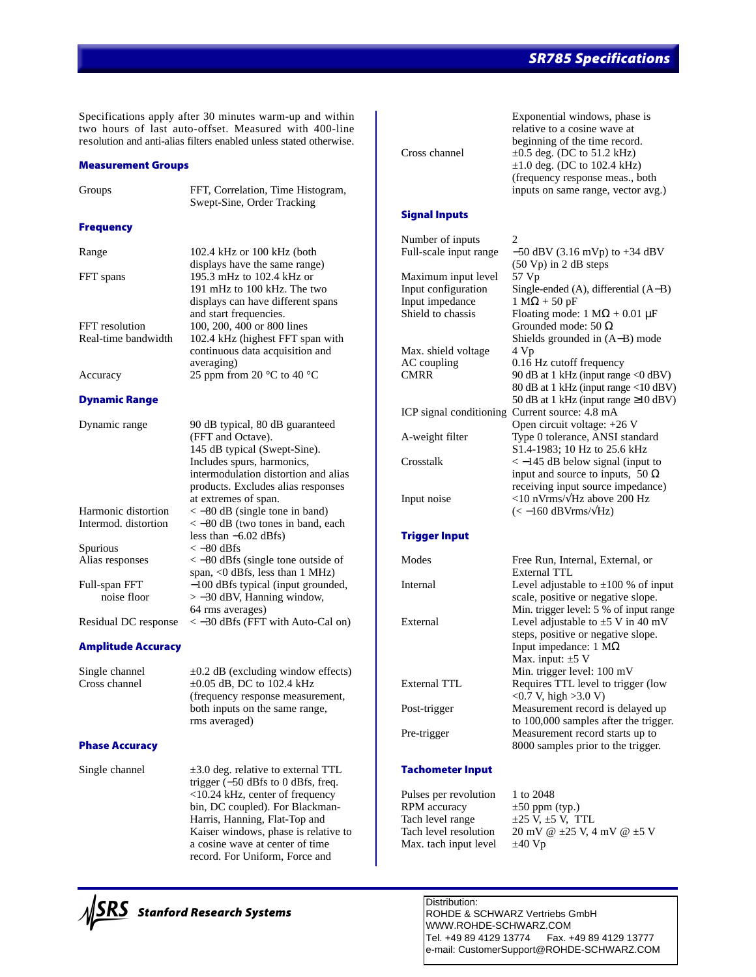# *SR785 Specifications*

Specifications apply after 30 minutes warm-up and within two hours of last auto-offset. Measured with 400-line resolution and anti-alias filters enabled unless stated otherwise.

#### **Measurement Groups**

| Groups               | FFT, Correlation, Time Histogram,<br>Swept-Sine, Order Tracking                                                                                                                                                          |
|----------------------|--------------------------------------------------------------------------------------------------------------------------------------------------------------------------------------------------------------------------|
| <b>Frequency</b>     |                                                                                                                                                                                                                          |
| Range                | 102.4 kHz or 100 kHz (both<br>displays have the same range)                                                                                                                                                              |
| FFT spans            | 195.3 mHz to 102.4 kHz or<br>191 mHz to 100 kHz. The two<br>displays can have different spans<br>and start frequencies.                                                                                                  |
| FFT resolution       | 100, 200, 400 or 800 lines                                                                                                                                                                                               |
| Real-time bandwidth  | 102.4 kHz (highest FFT span with<br>continuous data acquisition and<br>averaging)                                                                                                                                        |
| Accuracy             | 25 ppm from 20 $^{\circ}$ C to 40 $^{\circ}$ C                                                                                                                                                                           |
| <b>Dynamic Range</b> |                                                                                                                                                                                                                          |
| Dynamic range        | 90 dB typical, 80 dB guaranteed<br>(FFT and Octave).<br>145 dB typical (Swept-Sine).<br>Includes spurs, harmonics,<br>intermodulation distortion and alias<br>products. Excludes alias responses<br>at extremes of span. |
| Harmonic distortion  | $<-80$ dB (single tone in band)                                                                                                                                                                                          |
| Intermod. distortion | $<-80$ dB (two tones in band, each<br>less than $-6.02$ dBfs)                                                                                                                                                            |
| Spurious             | $<-80$ dBfs                                                                                                                                                                                                              |
| Alias responses      | $<-80$ dBfs (single tone outside of<br>span, <0 dBfs, less than 1 MHz)                                                                                                                                                   |
| Full-span FFT        | -100 dBfs typical (input grounded,                                                                                                                                                                                       |
| noise floor          | $> -30$ dBV, Hanning window,<br>64 rms averages)                                                                                                                                                                         |
| Residual DC response | $<-30$ dBfs (FFT with Auto-Cal on)                                                                                                                                                                                       |

#### **Amplitude Accuracy**

Single channel  $\pm 0.2$  dB (excluding window effects) Cross channel  $\pm 0.05$  dB, DC to 102.4 kHz (frequency response measurement, both inputs on the same range, rms averaged)

# **Phase Accuracy**

Single channel  $\pm 3.0$  deg. relative to external TTL trigger (−50 dBfs to 0 dBfs, freq. <10.24 kHz, center of frequency bin, DC coupled). For Blackman-Harris, Hanning, Flat-Top and Kaiser windows, phase is relative to a cosine wave at center of time record. For Uniform, Force and



Exponential windows, phase is relative to a cosine wave at beginning of the time record. Cross channel  $\pm 0.5$  deg. (DC to 51.2 kHz)  $\pm 1.0$  deg. (DC to 102.4 kHz) (frequency response meas., both inputs on same range, vector avg.) **Signal Inputs** Number of inputs 2<br>Full-scale input range - $-50$  dBV (3.16 mVp) to +34 dBV (50 Vp) in 2 dB steps Maximum input level 57 Vp Input configuration Single-ended (A), differential (A−B) Input impedance  $1 M\Omega + 50 pF$ <br>Shield to chassis Floating mode: Floating mode: 1 M $\Omega$  + 0.01 µF

Grounded mode: 50 Ω Shields grounded in (A−B) mode Max. shield voltage 4 Vp AC coupling 0.16 Hz cutoff frequency CMRR 90 dB at 1 kHz (input range  $\langle 0$  dBV) 80 dB at 1 kHz (input range <10 dBV) 50 dB at 1 kHz (input range ≥10 dBV) ICP signal conditioning Current source: 4.8 mA Open circuit voltage: +26 V A-weight filter Type 0 tolerance, ANSI standard S1.4-1983; 10 Hz to 25.6 kHz Crosstalk < −145 dB below signal (input to input and source to inputs, 50  $\Omega$ receiving input source impedance) Input noise <10 nVrms/√Hz above 200 Hz  $(< -160$  dBVrms/ $\sqrt{Hz}$ )

#### **Trigger Input**

| Modes        | Free Run, Internal, External, or         |
|--------------|------------------------------------------|
|              | External TTL                             |
| Internal     | Level adjustable to $\pm 100$ % of input |
|              | scale, positive or negative slope.       |
|              | Min. trigger level: 5 % of input range   |
| External     | Level adjustable to $\pm$ 5 V in 40 mV   |
|              | steps, positive or negative slope.       |
|              | Input impedance: $1 M\Omega$             |
|              | Max. input: $\pm 5$ V                    |
|              | Min. trigger level: 100 mV               |
| External TTL | Requires TTL level to trigger (low       |
|              | $<0.7$ V, high $>3.0$ V)                 |
| Post-trigger | Measurement record is delayed up         |
|              | to 100,000 samples after the trigger.    |
| Pre-trigger  | Measurement record starts up to          |
|              | 8000 samples prior to the trigger.       |
|              |                                          |

# **Tachometer Input**

Pulses per revolution 1 to 2048 RPM accuracy  $\pm 50$  ppm (typ.) Tach level range  $\pm 25$  V,  $\pm 5$  V, TTL Max. tach input level  $\pm 40 \text{ Vp}$ 

Tach level resolution 20 mV @  $\pm 25$  V, 4 mV @  $\pm 5$  V